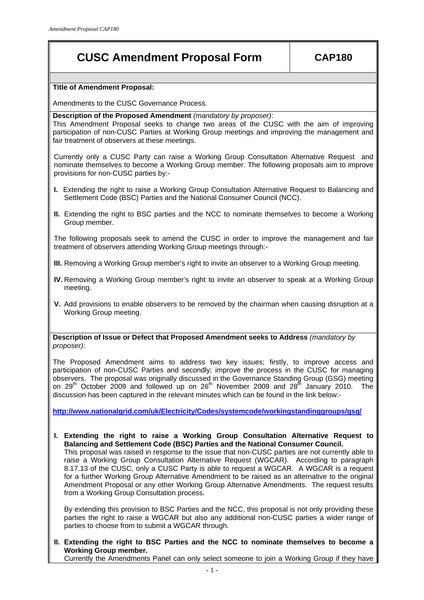# **CUSC Amendment Proposal Form CAP180**

# **Title of Amendment Proposal:**

Amendments to the CUSC Governance Process.

**Description of the Proposed Amendment** *(mandatory by proposer)*:

This Amendment Proposal seeks to change two areas of the CUSC with the aim of improving participation of non-CUSC Parties at Working Group meetings and improving the management and fair treatment of observers at these meetings.

Currently only a CUSC Party can raise a Working Group Consultation Alternative Request and nominate themselves to become a Working Group member. The following proposals aim to improve provisions for non-CUSC parties by:-

- **I.** Extending the right to raise a Working Group Consultation Alternative Request to Balancing and Settlement Code (BSC) Parties and the National Consumer Council (NCC).
- **II.** Extending the right to BSC parties and the NCC to nominate themselves to become a Working Group member.

The following proposals seek to amend the CUSC in order to improve the management and fair treatment of observers attending Working Group meetings through:-

**III.** Removing a Working Group member's right to invite an observer to a Working Group meeting.

- **IV.** Removing a Working Group member's right to invite an observer to speak at a Working Group meeting.
- **V.** Add provisions to enable observers to be removed by the chairman when causing disruption at a Working Group meeting.

**Description of Issue or Defect that Proposed Amendment seeks to Address** *(mandatory by proposer)*:

The Proposed Amendment aims to address two key issues; firstly, to improve access and participation of non-CUSC Parties and secondly; improve the process in the CUSC for managing observers. The proposal was originally discussed in the Governance Standing Group (GSG) meeting on  $29<sup>th</sup>$  October 2009 and followed up on  $26<sup>th</sup>$  November 2009 and  $28<sup>th</sup>$  January 2010. The discussion has been captured in the relevant minutes which can be found in the link below:-

**http://www.nationalgrid.com/uk/Electricity/Codes/systemcode/workingstandinggroups/gsg/**

**I. Extending the right to raise a Working Group Consultation Alternative Request to Balancing and Settlement Code (BSC) Parties and the National Consumer Council.**  This proposal was raised in response to the issue that non-CUSC parties are not currently able to raise a Working Group Consultation Alternative Request (WGCAR). According to paragraph 8.17.13 of the CUSC, only a CUSC Party is able to request a WGCAR. A WGCAR is a request for a further Working Group Alternative Amendment to be raised as an alternative to the original Amendment Proposal or any other Working Group Alternative Amendments. The request results from a Working Group Consultation process.

By extending this provision to BSC Parties and the NCC, this proposal is not only providing these parties the right to raise a WGCAR but also any additional non-CUSC parties a wider range of parties to choose from to submit a WGCAR through.

**II. Extending the right to BSC Parties and the NCC to nominate themselves to become a Working Group member.**  Currently the Amendments Panel can only select someone to join a Working Group if they have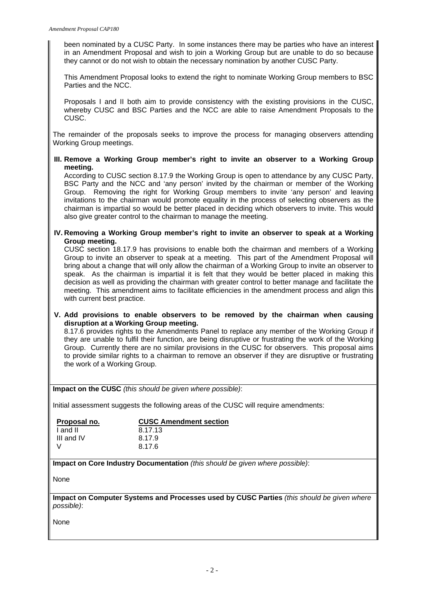been nominated by a CUSC Party. In some instances there may be parties who have an interest in an Amendment Proposal and wish to join a Working Group but are unable to do so because they cannot or do not wish to obtain the necessary nomination by another CUSC Party.

This Amendment Proposal looks to extend the right to nominate Working Group members to BSC Parties and the NCC.

Proposals I and II both aim to provide consistency with the existing provisions in the CUSC, whereby CUSC and BSC Parties and the NCC are able to raise Amendment Proposals to the CUSC.

The remainder of the proposals seeks to improve the process for managing observers attending Working Group meetings.

## **III. Remove a Working Group member's right to invite an observer to a Working Group meeting.**

According to CUSC section 8.17.9 the Working Group is open to attendance by any CUSC Party, BSC Party and the NCC and 'any person' invited by the chairman or member of the Working Group. Removing the right for Working Group members to invite 'any person' and leaving invitations to the chairman would promote equality in the process of selecting observers as the chairman is impartial so would be better placed in deciding which observers to invite. This would also give greater control to the chairman to manage the meeting.

## **IV. Removing a Working Group member's right to invite an observer to speak at a Working Group meeting.**

CUSC section 18.17.9 has provisions to enable both the chairman and members of a Working Group to invite an observer to speak at a meeting. This part of the Amendment Proposal will bring about a change that will only allow the chairman of a Working Group to invite an observer to speak. As the chairman is impartial it is felt that they would be better placed in making this decision as well as providing the chairman with greater control to better manage and facilitate the meeting. This amendment aims to facilitate efficiencies in the amendment process and align this with current best practice.

**V. Add provisions to enable observers to be removed by the chairman when causing disruption at a Working Group meeting.** 

8.17.6 provides rights to the Amendments Panel to replace any member of the Working Group if they are unable to fulfil their function, are being disruptive or frustrating the work of the Working Group. Currently there are no similar provisions in the CUSC for observers. This proposal aims to provide similar rights to a chairman to remove an observer if they are disruptive or frustrating the work of a Working Group.

**Impact on the CUSC** *(this should be given where possible)*:

Initial assessment suggests the following areas of the CUSC will require amendments:

| Proposal no. | <b>CUSC Amendment section</b> |
|--------------|-------------------------------|
| I and II     | 8.17.13                       |
| III and IV   | 8.17.9                        |
|              | 8.17.6                        |

**Impact on Core Industry Documentation** *(this should be given where possible)*:

None

**Impact on Computer Systems and Processes used by CUSC Parties** *(this should be given where possible)*:

None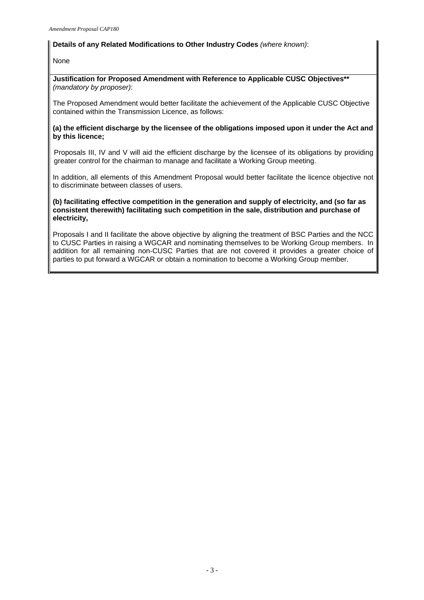# **Details of any Related Modifications to Other Industry Codes** *(where known)*:

# None

**Justification for Proposed Amendment with Reference to Applicable CUSC Objectives\*\***  *(mandatory by proposer)*:

The Proposed Amendment would better facilitate the achievement of the Applicable CUSC Objective contained within the Transmission Licence, as follows:

## **(a) the efficient discharge by the licensee of the obligations imposed upon it under the Act and by this licence;**

Proposals III, IV and V will aid the efficient discharge by the licensee of its obligations by providing greater control for the chairman to manage and facilitate a Working Group meeting.

In addition, all elements of this Amendment Proposal would better facilitate the licence objective not to discriminate between classes of users.

#### **(b) facilitating effective competition in the generation and supply of electricity, and (so far as consistent therewith) facilitating such competition in the sale, distribution and purchase of electricity,**

Proposals I and II facilitate the above objective by aligning the treatment of BSC Parties and the NCC to CUSC Parties in raising a WGCAR and nominating themselves to be Working Group members. In addition for all remaining non-CUSC Parties that are not covered it provides a greater choice of parties to put forward a WGCAR or obtain a nomination to become a Working Group member.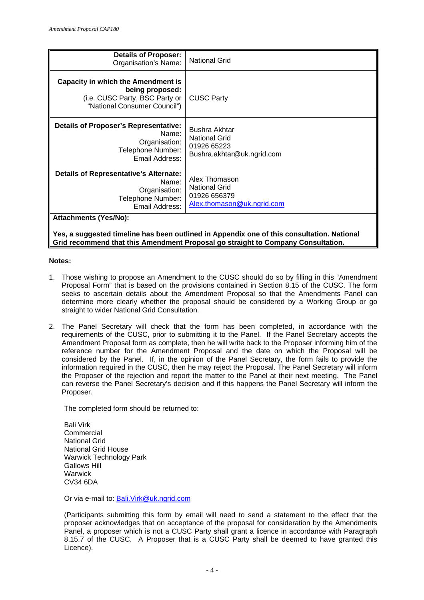| <b>Details of Proposer:</b><br>Organisation's Name:                                                                                                                            | <b>National Grid</b>                                                                      |  |
|--------------------------------------------------------------------------------------------------------------------------------------------------------------------------------|-------------------------------------------------------------------------------------------|--|
| <b>Capacity in which the Amendment is</b><br>being proposed:<br>(i.e. CUSC Party, BSC Party or<br>"National Consumer Council")                                                 | <b>CUSC Party</b>                                                                         |  |
| <b>Details of Proposer's Representative:</b><br>Name:<br>Organisation:<br>Telephone Number:<br>Email Address:                                                                  | <b>Bushra Akhtar</b><br><b>National Grid</b><br>01926 65223<br>Bushra.akhtar@uk.ngrid.com |  |
| <b>Details of Representative's Alternate:</b><br>Name:<br>Organisation:<br>Telephone Number:<br>Email Address:                                                                 | Alex Thomason<br><b>National Grid</b><br>01926 656379<br>Alex.thomason@uk.ngrid.com       |  |
| <b>Attachments (Yes/No):</b>                                                                                                                                                   |                                                                                           |  |
| Yes, a suggested timeline has been outlined in Appendix one of this consultation. National<br>Grid recommend that this Amendment Proposal go straight to Company Consultation. |                                                                                           |  |

#### **Notes:**

- 1. Those wishing to propose an Amendment to the CUSC should do so by filling in this "Amendment Proposal Form" that is based on the provisions contained in Section 8.15 of the CUSC. The form seeks to ascertain details about the Amendment Proposal so that the Amendments Panel can determine more clearly whether the proposal should be considered by a Working Group or go straight to wider National Grid Consultation.
- 2. The Panel Secretary will check that the form has been completed, in accordance with the requirements of the CUSC, prior to submitting it to the Panel. If the Panel Secretary accepts the Amendment Proposal form as complete, then he will write back to the Proposer informing him of the reference number for the Amendment Proposal and the date on which the Proposal will be considered by the Panel. If, in the opinion of the Panel Secretary, the form fails to provide the information required in the CUSC, then he may reject the Proposal. The Panel Secretary will inform the Proposer of the rejection and report the matter to the Panel at their next meeting. The Panel can reverse the Panel Secretary's decision and if this happens the Panel Secretary will inform the Proposer.

The completed form should be returned to:

Bali Virk **Commercial** National Grid National Grid House Warwick Technology Park Gallows Hill **Warwick** CV34 6DA

Or via e-mail to: Bali.Virk@uk.ngrid.com

(Participants submitting this form by email will need to send a statement to the effect that the proposer acknowledges that on acceptance of the proposal for consideration by the Amendments Panel, a proposer which is not a CUSC Party shall grant a licence in accordance with Paragraph 8.15.7 of the CUSC. A Proposer that is a CUSC Party shall be deemed to have granted this Licence).